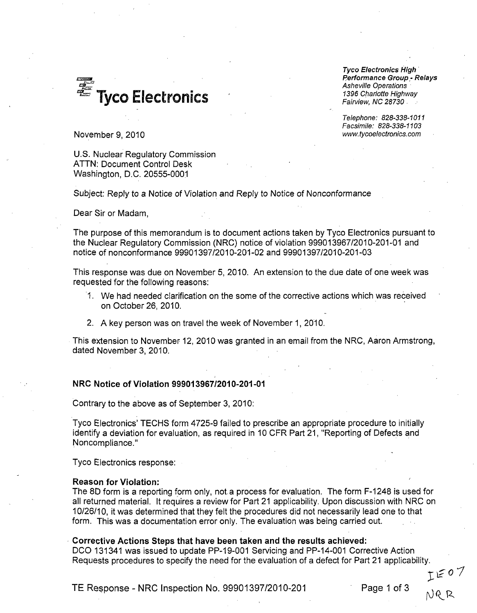**<sup>1396</sup>**Charlotte Highway Tyco Electronics *Fairview, NC 28730.*

*Tyco Electronics High* Performance *Group,- Relays Asheville Operations*

*Telephone: 828-338-1011 Facsimile: 828-338-1103*

November 9, 2010 *www.tycoelectronics.com*

U.S. Nuclear Regulatory Commission ATTN: Document Control Desk Washington, D.C. 20555-0001

Subject: Reply to a Notice of Violation and Reply to Notice of Nonconformance

Dear Sir or Madam,

The purpose of this memorandum is to document actions taken by Tyco Electronics pursuant to the Nuclear Regulatory Commission (NRC) notice of violation 999013967/2010-201-01 and notice of nonconformance 99901397/2010-201.-02 and 99901397/2010-201-03

This response was due on November 5, 2010. An extension to the due date of one week was requested for the following reasons:

- 1. We had needed clarification on the some of the corrective actions which was received on October 26, 2010.
- 2. A key person was on travel the week of November 1, 2010.

This extension to November 12, 2010 was granted in an email from the NRC, Aaron Armstrong, dated November 3, 2010.

#### NRC Notice of Violation **999013967/2010-201-01**

Contrary to the above as of September 3, 2010:

Tyco Electronics' TECHS form 4725-9 failed to prescribe an appropriate procedure to initially identify a deviation for evaluation, as required in 10 CFR Part 21, "Reporting of Defects and Noncompliance."

Tyco Electronics response:

### Reason for Violation:

The 8D form is a reporting form only, not a process for evaluation. The form F-1248 is used for all returned material. It requires a review for Part 21 applicability. Upon discussion with NRC on 10/26/10, it was determined that they felt the procedures did not necessarily lead one to that form. This was a documentation error only. The evaluation was being carried out.

#### Corrective Actions Steps that have been taken and the results achieved:

DCO 131341 was issued to update PP-19-001 Servicing and PP-14-001 Corrective Action Requests procedures to specify the need for the evaluation of a defect for Part 21 applicability.

TE Response - NRC Inspection No. 99901397/2010-201 Page **1** of **3**

**1 oI**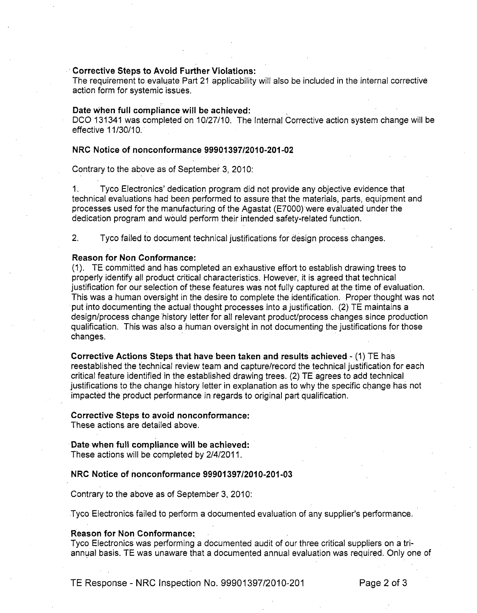# Corrective Steps to Avoid Further Violations:

The requirement to evaluate Part 21 applicability will also be included in the internal corrective action form for systemic issues.

# Date when full compliance will be achieved:

**DCO** 131341 was completed on 10/27/10. The Internal Corrective action system change will be effective 11/30/10.

## NRC Notice of nonconformance **99901397/2010-201-02**

Contrary to the above as of September 3, 2010:

1. Tyco Electronics' dedication program did not provide any objective evidence that technical evaluations had been performed to assure that the materials, parts, equipment and processes used for the manufacturing of the Agastat (E7000) were evaluated under the dedication program and would perform their intended safety-related function.

2. Tyco failed to document technical justifications for design process changes.

## Reason for Non Conformance:

(1). TE committed and has completed an exhaustive effort to establish drawing trees to properly identify all product critical characteristics. However, it is agreed that technical justification for our selection of these features was not fully captured at the time of evaluation. This was a human oversight in the desire to complete the identification. Proper thought was not put into documenting the actual thought processes into a justification. (2) TE maintains a design/process change history letter for all relevant product/process changes since production qualification. This was also a human oversight in not documenting the justifications for those changes.

Corrective Actions Steps that have been taken and results achieved - (1) TE has reestablished the technical review team and capture/record the technical justification for each critical feature identified in the established drawing trees. (2) TE agrees to add technical justifications to the change history letter in explanation as to why the specific change has not impacted the product performance in regards to original part qualification.

### Corrective Steps to avoid nonconformance:

These actions are detailed above.

# Date when full compliance will be achieved:

These actions will be completed by 2/4/2011.

### NRC Notice of nonconformance **99901397/2010-201-03**

Contrary to the above as of September 3, 2010:

Tyco Electronics failed to perform a documented evaluation of any supplier's performance.

#### Reason for Non Conformance:

Tyco Electronics was performing a documented audit of our three critical suppliers on a triannual basis. TE was unaware that a documented annual evaluation was required. Only one of

TE Response - NRC Inspection No. 99901397/2010-201 Page 2 of **3**